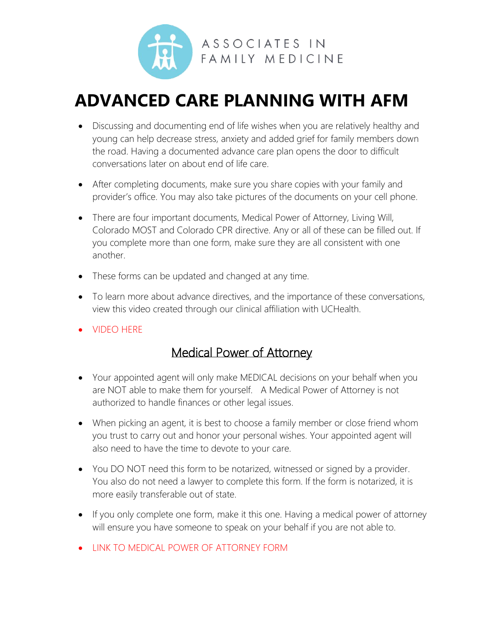

# **ADVANCED CARE PLANNING WITH AFM**

- Discussing and documenting end of life wishes when you are relatively healthy and young can help decrease stress, anxiety and added grief for family members down the road. Having a documented advance care plan opens the door to difficult conversations later on about end of life care.
- After completing documents, make sure you share copies with your family and provider's office. You may also take pictures of the documents on your cell phone.
- There are four important documents, Medical Power of Attorney, Living Will, Colorado MOST and Colorado CPR directive. Any or all of these can be filled out. If you complete more than one form, make sure they are all consistent with one another.
- These forms can be updated and changed at any time.
- To learn more about advance directives, and the importance of these conversations, view this video created through our clinical affiliation with UCHealth.
- [VIDEO HERE](https://www.youtube.com/watch?v=NKHRV-gGA1I)

### Medical Power of Attorney

- Your appointed agent will only make MEDICAL decisions on your behalf when you are NOT able to make them for yourself. A Medical Power of Attorney is not authorized to handle finances or other legal issues.
- When picking an agent, it is best to choose a family member or close friend whom you trust to carry out and honor your personal wishes. Your appointed agent will also need to have the time to devote to your care.
- You DO NOT need this form to be notarized, witnessed or signed by a provider. You also do not need a lawyer to complete this form. If the form is notarized, it is more easily transferable out of state.
- If you only complete one form, make it this one. Having a medical power of attorney will ensure you have someone to speak on your behalf if you are not able to.
- [LINK TO MEDICAL POWER OF ATTORNEY FORM](https://afmnoco.com/wp-content/uploads/2021/10/MPOA-10.7.21.pdf)